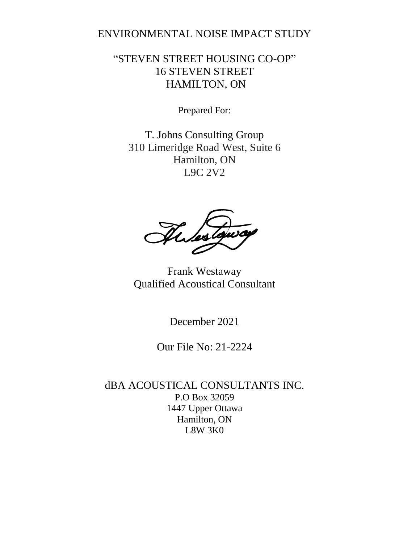#### ENVIRONMENTAL NOISE IMPACT STUDY

#### "STEVEN STREET HOUSING CO-OP" 16 STEVEN STREET HAMILTON, ON

Prepared For:

T. Johns Consulting Group 310 Limeridge Road West, Suite 6 Hamilton, ON L9C 2V2

Thestoway

Frank Westaway Qualified Acoustical Consultant

December 2021

Our File No: 21-2224

dBA ACOUSTICAL CONSULTANTS INC. P.O Box 32059 1447 Upper Ottawa Hamilton, ON L8W 3K0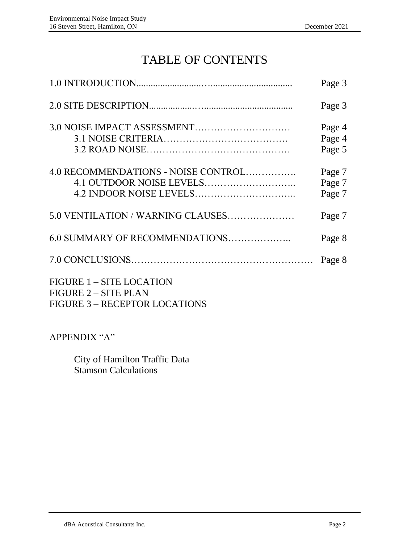## TABLE OF CONTENTS

|                                                                | Page 3                     |
|----------------------------------------------------------------|----------------------------|
|                                                                | Page 3                     |
|                                                                | Page 4<br>Page 4<br>Page 5 |
| 4.0 RECOMMENDATIONS - NOISE CONTROL                            | Page 7<br>Page 7<br>Page 7 |
| 5.0 VENTILATION / WARNING CLAUSES                              | Page 7                     |
| 6.0 SUMMARY OF RECOMMENDATIONS                                 | Page 8                     |
|                                                                | Page 8                     |
| <b>FIGURE 1 - SITE LOCATION</b><br><b>FIGURE 2 - SITE PLAN</b> |                            |

FIGURE 3 – RECEPTOR LOCATIONS

APPENDIX "A"

City of Hamilton Traffic Data Stamson Calculations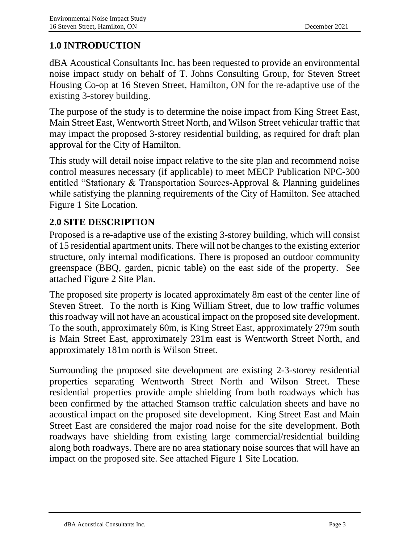#### **1.0 INTRODUCTION**

dBA Acoustical Consultants Inc. has been requested to provide an environmental noise impact study on behalf of T. Johns Consulting Group, for Steven Street Housing Co-op at 16 Steven Street, Hamilton, ON for the re-adaptive use of the existing 3-storey building.

The purpose of the study is to determine the noise impact from King Street East, Main Street East, Wentworth Street North, and Wilson Street vehicular traffic that may impact the proposed 3-storey residential building, as required for draft plan approval for the City of Hamilton.

This study will detail noise impact relative to the site plan and recommend noise control measures necessary (if applicable) to meet MECP Publication NPC-300 entitled "Stationary & Transportation Sources-Approval & Planning guidelines while satisfying the planning requirements of the City of Hamilton. See attached Figure 1 Site Location.

### **2.0 SITE DESCRIPTION**

Proposed is a re-adaptive use of the existing 3-storey building, which will consist of 15 residential apartment units. There will not be changes to the existing exterior structure, only internal modifications. There is proposed an outdoor community greenspace (BBQ, garden, picnic table) on the east side of the property. See attached Figure 2 Site Plan.

The proposed site property is located approximately 8m east of the center line of Steven Street. To the north is King William Street, due to low traffic volumes this roadway will not have an acoustical impact on the proposed site development. To the south, approximately 60m, is King Street East, approximately 279m south is Main Street East, approximately 231m east is Wentworth Street North, and approximately 181m north is Wilson Street.

Surrounding the proposed site development are existing 2-3-storey residential properties separating Wentworth Street North and Wilson Street. These residential properties provide ample shielding from both roadways which has been confirmed by the attached Stamson traffic calculation sheets and have no acoustical impact on the proposed site development. King Street East and Main Street East are considered the major road noise for the site development. Both roadways have shielding from existing large commercial/residential building along both roadways. There are no area stationary noise sources that will have an impact on the proposed site. See attached Figure 1 Site Location.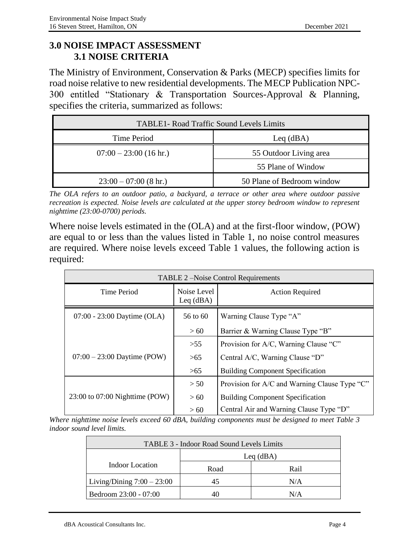#### **3.0 NOISE IMPACT ASSESSMENT 3.1 NOISE CRITERIA**

The Ministry of Environment, Conservation & Parks (MECP) specifies limits for road noise relative to new residential developments. The MECP Publication NPC-300 entitled "Stationary & Transportation Sources-Approval & Planning, specifies the criteria, summarized as follows:

| <b>TABLE1- Road Traffic Sound Levels Limits</b> |                            |  |
|-------------------------------------------------|----------------------------|--|
| Time Period<br>$Leq$ (dBA)                      |                            |  |
| $07:00 - 23:00$ (16 hr.)                        | 55 Outdoor Living area     |  |
|                                                 | 55 Plane of Window         |  |
| $23:00 - 07:00$ (8 hr.)                         | 50 Plane of Bedroom window |  |

*The OLA refers to an outdoor patio, a backyard, a terrace or other area where outdoor passive recreation is expected. Noise levels are calculated at the upper storey bedroom window to represent nighttime (23:00-0700) periods.*

Where noise levels estimated in the (OLA) and at the first-floor window, (POW) are equal to or less than the values listed in Table 1, no noise control measures are required. Where noise levels exceed Table 1 values, the following action is required:

| TABLE 2 – Noise Control Requirements |                            |                                               |  |
|--------------------------------------|----------------------------|-----------------------------------------------|--|
| Time Period                          | Noise Level<br>Leq $(dBA)$ | <b>Action Required</b>                        |  |
| 07:00 - 23:00 Daytime (OLA)          | 56 to 60                   | Warning Clause Type "A"                       |  |
|                                      | >60                        | Barrier & Warning Clause Type "B"             |  |
|                                      | $>55$                      | Provision for A/C, Warning Clause "C"         |  |
| $07:00 - 23:00$ Daytime (POW)        | >65                        | Central A/C, Warning Clause "D"               |  |
|                                      | >65                        | <b>Building Component Specification</b>       |  |
|                                      | > 50                       | Provision for A/C and Warning Clause Type "C" |  |
| 23:00 to 07:00 Nighttime (POW)       | >60                        | <b>Building Component Specification</b>       |  |
|                                      | >60                        | Central Air and Warning Clause Type "D"       |  |

*Where nighttime noise levels exceed 60 dBA, building components must be designed to meet Table 3 indoor sound level limits.*

| TABLE 3 - Indoor Road Sound Levels Limits |              |      |  |
|-------------------------------------------|--------------|------|--|
|                                           | $L$ eq (dBA) |      |  |
| Indoor Location                           | Road         | Rail |  |
| Living/Dining $7:00 - 23:00$              | 45           | N/A  |  |
| Bedroom 23:00 - 07:00                     |              | N/A  |  |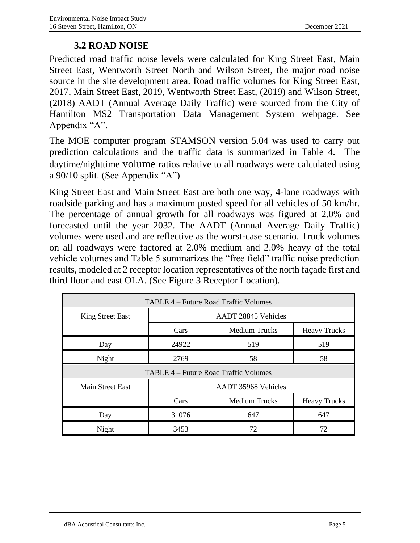#### **3.2 ROAD NOISE**

Predicted road traffic noise levels were calculated for King Street East, Main Street East, Wentworth Street North and Wilson Street, the major road noise source in the site development area. Road traffic volumes for King Street East, 2017, Main Street East, 2019, Wentworth Street East, (2019) and Wilson Street, (2018) AADT (Annual Average Daily Traffic) were sourced from the City of Hamilton MS2 Transportation Data Management System webpage. See Appendix "A".

The MOE computer program STAMSON version 5.04 was used to carry out prediction calculations and the traffic data is summarized in Table 4. The daytime/nighttime volume ratios relative to all roadways were calculated using a 90/10 split. (See Appendix "A")

King Street East and Main Street East are both one way, 4-lane roadways with roadside parking and has a maximum posted speed for all vehicles of 50 km/hr. The percentage of annual growth for all roadways was figured at 2.0% and forecasted until the year 2032. The AADT (Annual Average Daily Traffic) volumes were used and are reflective as the worst-case scenario. Truck volumes on all roadways were factored at 2.0% medium and 2.0% heavy of the total vehicle volumes and Table 5 summarizes the "free field" traffic noise prediction results, modeled at 2 receptor location representatives of the north façade first and third floor and east OLA. (See Figure 3 Receptor Location).

| TABLE 4 – Future Road Traffic Volumes |                                                     |                      |                     |
|---------------------------------------|-----------------------------------------------------|----------------------|---------------------|
| <b>King Street East</b>               | <b>AADT 28845 Vehicles</b>                          |                      |                     |
|                                       | Cars<br><b>Medium Trucks</b><br><b>Heavy Trucks</b> |                      |                     |
| Day                                   | 24922                                               | 519                  | 519                 |
| Night                                 | 2769                                                | 58                   | 58                  |
|                                       | TABLE 4 – Future Road Traffic Volumes               |                      |                     |
| <b>Main Street East</b>               | AADT 35968 Vehicles                                 |                      |                     |
|                                       | Cars                                                | <b>Medium Trucks</b> | <b>Heavy Trucks</b> |
| Day                                   | 31076                                               | 647                  | 647                 |
| Night                                 | 3453                                                | 72                   | 72                  |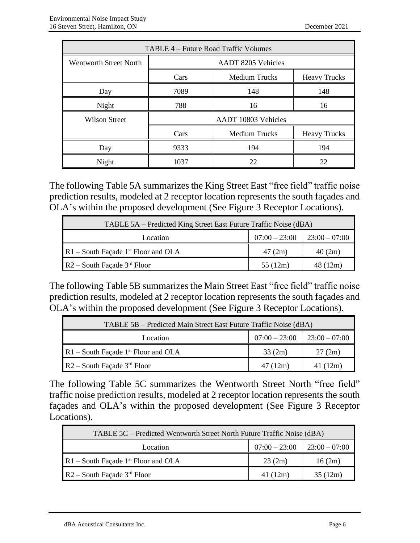| TABLE 4 – Future Road Traffic Volumes |                           |                      |                     |
|---------------------------------------|---------------------------|----------------------|---------------------|
| <b>Wentworth Street North</b>         | <b>AADT 8205 Vehicles</b> |                      |                     |
|                                       | Cars                      | <b>Medium Trucks</b> | <b>Heavy Trucks</b> |
| Day                                   | 7089                      | 148                  | 148                 |
| Night                                 | 788                       | 16                   | 16                  |
| <b>Wilson Street</b>                  | AADT 10803 Vehicles       |                      |                     |
|                                       | Cars                      | <b>Medium Trucks</b> | <b>Heavy Trucks</b> |
| Day                                   | 9333                      | 194                  | 194                 |
| Night                                 | 1037                      | 22                   | 22                  |

The following Table 5A summarizes the King Street East "free field" traffic noise prediction results, modeled at 2 receptor location represents the south façades and OLA's within the proposed development (See Figure 3 Receptor Locations).

| TABLE 5A – Predicted King Street East Future Traffic Noise (dBA) |         |          |
|------------------------------------------------------------------|---------|----------|
| $07:00 - 23:00$<br>$\mid 23:00 - 07:00$<br>Location              |         |          |
| $R1$ – South Façade 1 <sup>st</sup> Floor and OLA                | 47(2m)  | 40(2m)   |
| $R2$ – South Façade 3 <sup>rd</sup> Floor                        | 55(12m) | 48 (12m) |

The following Table 5B summarizes the Main Street East "free field" traffic noise prediction results, modeled at 2 receptor location represents the south façades and OLA's within the proposed development (See Figure 3 Receptor Locations).

| TABLE 5B – Predicted Main Street East Future Traffic Noise (dBA) |         |          |
|------------------------------------------------------------------|---------|----------|
| $07:00 - 23:00$<br>$23:00 - 07:00$<br>Location                   |         |          |
| $R1$ – South Façade 1 <sup>st</sup> Floor and OLA                | 33(2m)  | 27(2m)   |
| $R2$ – South Façade 3 <sup>rd</sup> Floor                        | 47(12m) | 41 (12m) |

The following Table 5C summarizes the Wentworth Street North "free field" traffic noise prediction results, modeled at 2 receptor location represents the south façades and OLA's within the proposed development (See Figure 3 Receptor Locations).

| TABLE 5C – Predicted Wentworth Street North Future Traffic Noise (dBA) |          |         |
|------------------------------------------------------------------------|----------|---------|
| $07:00 - 23:00$<br>$23:00 - 07:00$<br>Location                         |          |         |
| $R1$ – South Façade 1 <sup>st</sup> Floor and OLA                      | 23(2m)   | 16(2m)  |
| $R2$ – South Façade 3 <sup>rd</sup> Floor                              | 41 (12m) | 35(12m) |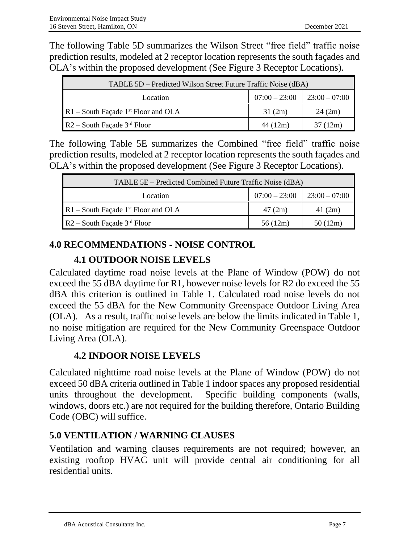The following Table 5D summarizes the Wilson Street "free field" traffic noise prediction results, modeled at 2 receptor location represents the south façades and OLA's within the proposed development (See Figure 3 Receptor Locations).

| TABLE 5D – Predicted Wilson Street Future Traffic Noise (dBA) |                 |                 |
|---------------------------------------------------------------|-----------------|-----------------|
| Location                                                      | $07:00 - 23:00$ | $23:00 - 07:00$ |
| $R1$ – South Façade 1 <sup>st</sup> Floor and OLA             | 31(2m)          | 24(2m)          |
| $R2$ – South Façade 3 <sup>rd</sup> Floor                     | 44 (12m)        | 37 (12m)        |

The following Table 5E summarizes the Combined "free field" traffic noise prediction results, modeled at 2 receptor location represents the south façades and OLA's within the proposed development (See Figure 3 Receptor Locations).

| TABLE 5E – Predicted Combined Future Traffic Noise (dBA) |                 |                 |
|----------------------------------------------------------|-----------------|-----------------|
| Location                                                 | $07:00 - 23:00$ | $23:00 - 07:00$ |
| $R1$ – South Façade 1 <sup>st</sup> Floor and OLA        | 47(2m)          | 41(2m)          |
| $R2$ – South Façade 3 <sup>rd</sup> Floor                | 56 (12m)        | 50(12m)         |

#### **4.0 RECOMMENDATIONS - NOISE CONTROL**

### **4.1 OUTDOOR NOISE LEVELS**

Calculated daytime road noise levels at the Plane of Window (POW) do not exceed the 55 dBA daytime for R1, however noise levels for R2 do exceed the 55 dBA this criterion is outlined in Table 1. Calculated road noise levels do not exceed the 55 dBA for the New Community Greenspace Outdoor Living Area (OLA). As a result, traffic noise levels are below the limits indicated in Table 1, no noise mitigation are required for the New Community Greenspace Outdoor Living Area (OLA).

#### **4.2 INDOOR NOISE LEVELS**

Calculated nighttime road noise levels at the Plane of Window (POW) do not exceed 50 dBA criteria outlined in Table 1 indoor spaces any proposed residential units throughout the development. Specific building components (walls, windows, doors etc.) are not required for the building therefore, Ontario Building Code (OBC) will suffice.

#### **5.0 VENTILATION / WARNING CLAUSES**

Ventilation and warning clauses requirements are not required; however, an existing rooftop HVAC unit will provide central air conditioning for all residential units.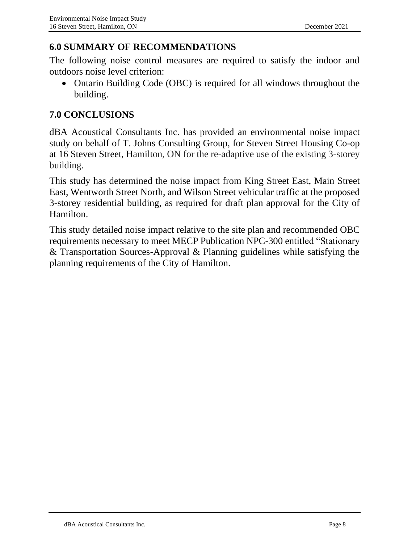#### **6.0 SUMMARY OF RECOMMENDATIONS**

The following noise control measures are required to satisfy the indoor and outdoors noise level criterion:

• Ontario Building Code (OBC) is required for all windows throughout the building.

#### **7.0 CONCLUSIONS**

dBA Acoustical Consultants Inc. has provided an environmental noise impact study on behalf of T. Johns Consulting Group, for Steven Street Housing Co-op at 16 Steven Street, Hamilton, ON for the re-adaptive use of the existing 3-storey building.

This study has determined the noise impact from King Street East, Main Street East, Wentworth Street North, and Wilson Street vehicular traffic at the proposed 3-storey residential building, as required for draft plan approval for the City of Hamilton.

This study detailed noise impact relative to the site plan and recommended OBC requirements necessary to meet MECP Publication NPC-300 entitled "Stationary & Transportation Sources-Approval & Planning guidelines while satisfying the planning requirements of the City of Hamilton.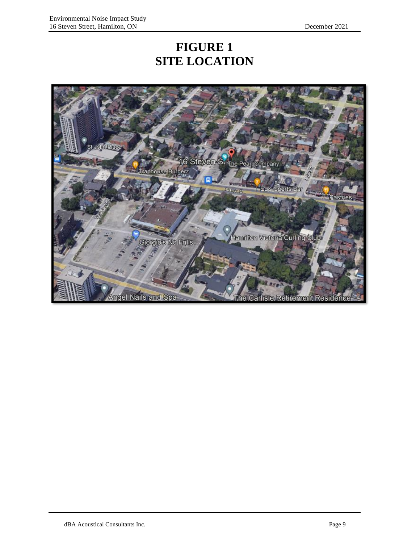### **FIGURE 1 SITE LOCATION**

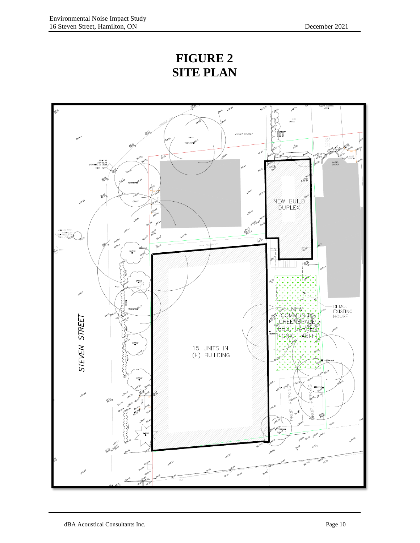## **FIGURE 2 SITE PLAN**

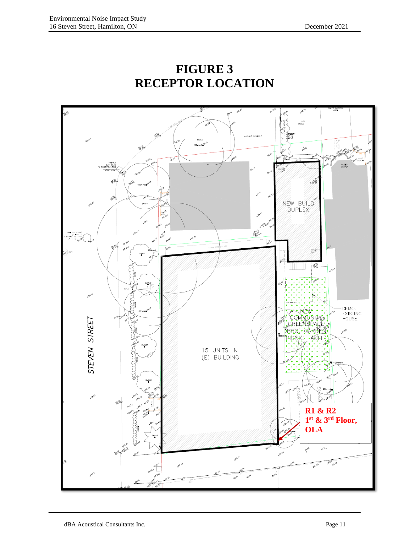

### **FIGURE 3 RECEPTOR LOCATION**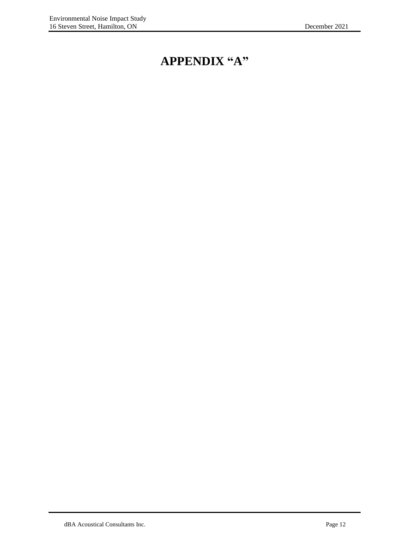## **APPENDIX "A"**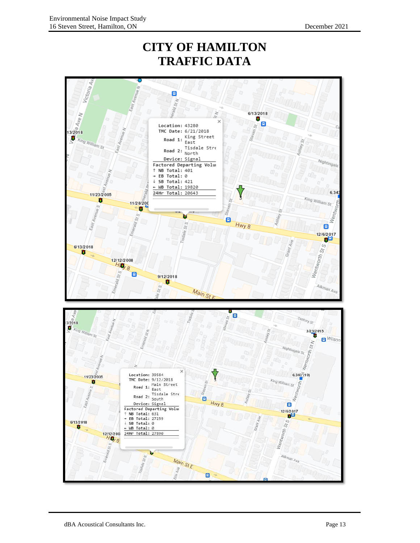### **CITY OF HAMILTON TRAFFIC DATA**

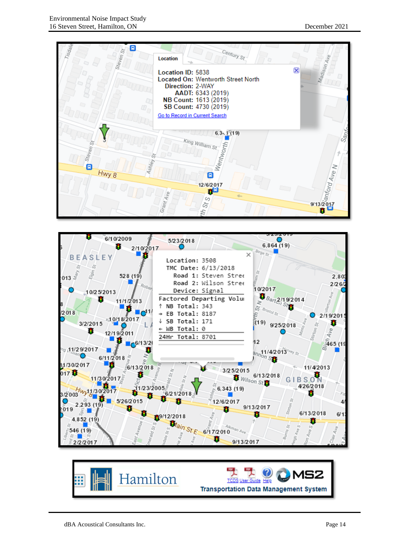



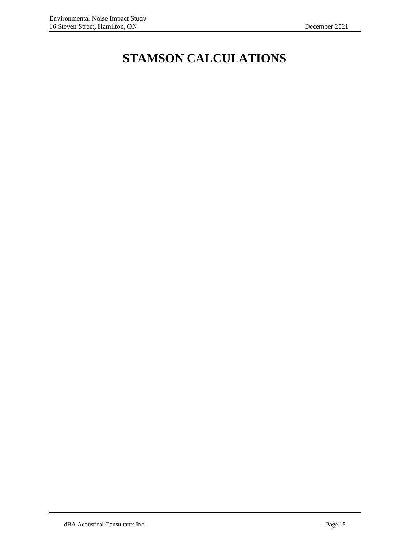# **STAMSON CALCULATIONS**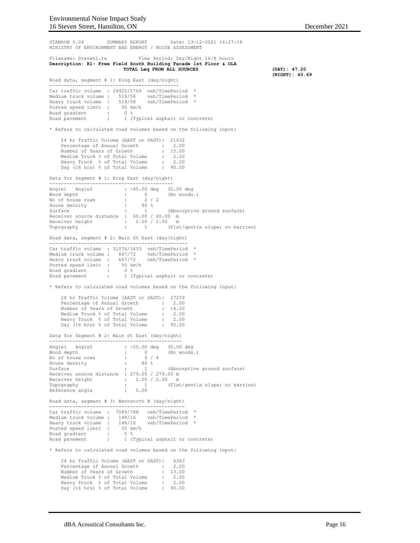STAMSON 5.04 SUMMARY REPORT Date: 13-12-2021 16:27:16 MINISTRY OF ENVIRONMENT AND ENERGY / NOISE ASSESSMENT Filename: Steven1.te Time Period: Day/Night 16/8 hours **Description: R1- Free Field South Building Facade 1st Floor & OLA TOTAL Leq FROM ALL SOURCES (DAY): 47.20 (NIGHT): 40.69** Road data, segment # 1: King East (day/night) --------------------------------------------- Car traffic volume : 24922/2769 veh/TimePeriod \* Medium truck volume : 519/58 veh/TimePeriod \* Heavy truck volume : 519/58 veh/TimePeriod \* Posted speed limit : 50 km/h Road gradient Road gradient : 0 %<br>Road pavement : 1 (Typical asphalt or concrete) \* Refers to calculated road volumes based on the following input: 24 hr Traffic Volume (AADT or SADT): 21432 Percentage of Annual Growth : 2.00 Number of Years of Growth : 15.00 Medium Truck % of Total Volume : 2.00 Heavy Truck % of Total Volume : 2.00 Day (16 hrs) % of Total Volume : 90.00 Data for Segment # 1: King East (day/night) ------------------------------------------- Angle1 Angle2 : -45.00 deg 32.00 deg Wood depth : 0 (No woods.) No of house rows : 2 / 2 House density : 80 % Surface : 1 (Absorptive ground surface) Receiver source distance : 60.00 / 60.00 m Receiver height : 2.00 / 2.00 m<br>Tenegraphy : 1 (Flat Topography : 1 (Flat/gentle slope; no barrier) Road data, segment # 2: Main St East (day/night) ------------------------------------------------ Car traffic volume : 31076/3453 veh/TimePeriod \* Medium truck volume : 647/72 veh/TimePeriod \* Heavy truck volume : 647/72 veh/TimePeriod \* Posted speed limit : 50 km/h Road gradient : 0 % Road gradient : u \*<br>Road pavement : 1 (Typical asphalt or concrete) \* Refers to calculated road volumes based on the following input: 24 hr Traffic Volume (AADT or SADT): 27259 Percentage of Annual Growth : 2.00<br>Number of Years of Growth : 14 00 Number of Years of Growth : 14.00 Medium Truck % of Total Volume : 2.00 Heavy Truck % of Total Volume : 2.00 Day (16 hrs) % of Total Volume : 90.00 Data for Segment # 2: Main St East (day/night) ---------------------------------------------- Angle1 Angle2 : -25.00 deg 30.00 deg Wood depth : 0 (No woods.) No of house rows : 4 / 4 House density : 80 % Absorptive consity<br>
Surface : 1 (Absorptive ground surface)<br>
Surface : 1 (Absorptive ground surface) Receiver source distance : 279.00 / 279.00 m Receiver height : 2.00 / 2.00 m Topography : 1 (Flat/gentle slope; no barrier) Reference angle  $\qquad \qquad : \qquad 0.00$ Road data, segment # 3: Wentworth N (day/night) ----------------------------------------------- Car traffic volume : 7089/788 veh/TimePeriod \* Medium truck volume : 148/16 veh/TimePeriod \* Heavy truck volume : 148/16 veh/TimePeriod \* Posted speed limit : 50 km/h Road gradient : 0 % Road pavement : 1 (Typical asphalt or concrete) \* Refers to calculated road volumes based on the following input: 24 hr Traffic Volume (AADT or SADT): 6343 Percentage of Annual Growth : 2.00<br>
Number of Years of Growth : 13.00<br>
Medium Truck % of Total Volume : 2.00<br>
Heavy Truck % of Total Volume : 20.00<br>
Day (16 hrs) % of Total Volume : 90.00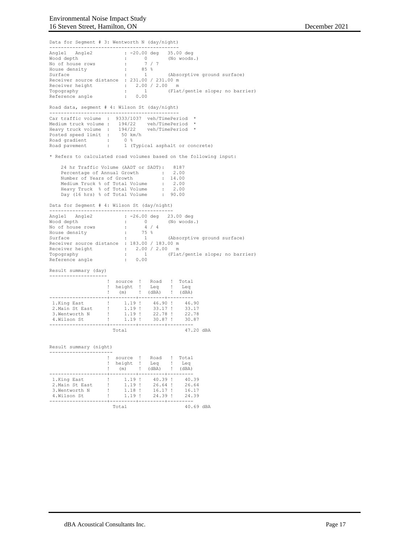Data for Segment # 3: Wentworth N (day/night) --------------------------------------------- Angle1 Angle2 : -20.00 deg 35.00 deg Wood depth : 0 (No woods.) No of house rows : 7 / 7 House density : 85 % Surface : 1 (Absorptive ground surface) Receiver source distance : 231.00 / 231.00 m Receiver height : 2.00 / 2.00 m Topography : 1 (Flat/gentle slope; no barrier) Reference angle : 0.00 Road data, segment # 4: Wilson St (day/night) --------------------------------------------- Car traffic volume : 9333/1037 veh/TimePeriod \* Medium truck volume : 194/22 veh/TimePeriod \* Heavy truck volume : 194/22 veh/TimePeriod \* Posted speed limit : 50 km/h Road gradient : 0 % Road pavement : 1 (Typical asphalt or concrete) \* Refers to calculated road volumes based on the following input: 24 hr Traffic Volume (AADT or SADT): 8187 Percentage of Annual Growth : 2.00 Number of Years of Growth : 14.00 Medium Truck % of Total Volume : 2.00 Heavy Truck % of Total Volume : 2.00 Day (16 hrs) % of Total Volume : 90.00 Data for Segment # 4: Wilson St (day/night) ------------------------------------------- Angle1 Angle2 : -26.00 deg 23.00 deg Wood depth : 0 (No woods.) No of house rows : 4 / 4 House density : 75 % Surface : 1 (Absorptive ground surface) Surface : 1 (Absorptive ground surface)<br>Receiver source distance : 183.00 / 183.00 m Receiver height : 2.00 / 2.00 m Topography : 1 (Flat/gentle slope; no barrier) Topography : 1 (Flat/gentle slope; no barrier)<br>Reference angle : 0.00 Result summary (day) -------------------- ! source ! Road ! Total ! height ! Leq ! Leq ! (m) ! (dBA) ! (dBA) --------------------+---------+---------+--------- 1.King East ! 1.19 ! 46.90 ! 46.90 2.Main St East ! 1.19 ! 33.17 ! 33.17 3.Wentworth N ! 1.19 ! 22.78 ! 22.78<br>4.Wilson St ! 1.19 ! 30.87 ! 30.87 --------------------+---------+---------+--------- Total  $47.20$  dBA Result summary (night) ---------------------- ! source ! Road ! Total ! height ! Leq ! Leq ! (m) ! (dBA) ! (dBA) --------------------+---------+---------+--------- 1.King East ! 1.19 ! 40.39 ! 40.39 2.Main St East ! 1.19 ! 26.64 ! 26.64 3.Wentworth N ! 1.18 ! 16.17 ! 16.17 4.Wilson St ! 1.19 ! 24.39 ! 24.39 --------------------+---------+---------+--------- Total 40.69 dBA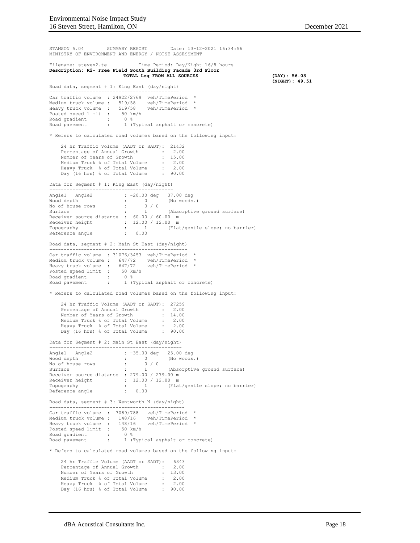STAMSON 5.04 SUMMARY REPORT Date: 13-12-2021 16:34:56 MINISTRY OF ENVIRONMENT AND ENERGY / NOISE ASSESSMENT Filename: steven2.te Time Period: Day/Night 16/8 hours **Description: R2- Free Field South Building Facade 3rd Floor TOTAL Leq FROM ALL SOURCES (DAY): 56.03 (NIGHT): 49.51** Road data, segment # 1: King East (day/night) --------------------------------------------- Car traffic volume : 24922/2769 veh/TimePeriod \* Medium truck volume : 519/58 veh/TimePeriod \* Heavy truck volume : 519/58 veh/TimePeriod \* Posted speed limit : 50 km/h Road gradient : 0 % Road pavement : 1 (Typical asphalt or concrete) \* Refers to calculated road volumes based on the following input: 24 hr Traffic Volume (AADT or SADT): 21432 Percentage of Annual Growth : 2.00 Number of Years of Growth : 15.00 Medium Truck % of Total Volume : 2.00 Heavy Truck % of Total Volume : 2.00 Day (16 hrs) % of Total Volume : 90.00 Data for Segment # 1: King East (day/night) ------------------------------------------- Angle1 Angle2 : -20.00 deg 37.00 deg Wood depth : 0 (No woods.) No of house rows : 0 / 0 Surface : 1 (Absorptive ground surface) Receiver source distance : 60.00 / 60.00 m Receiver height : 12.00 / 12.00 m Topography : 1 (Flat/gentle slope; no barrier)<br>Reference angle : 0.00 Reference angle Road data, segment # 2: Main St East (day/night) ------------------------------------------------ Car traffic volume : 31076/3453 veh/TimePeriod \* Medium truck volume : 647/72 veh/TimePeriod \* Heavy truck volume : 647/72 veh/TimePeriod \* Posted speed limit : 50 km/h Road gradient : 0 % Road pavement : 1 (Typical asphalt or concrete) \* Refers to calculated road volumes based on the following input: 24 hr Traffic Volume (AADT or SADT): 27259<br>Percentage of Annual Growth : 2.00 24 hr Trafflic volume (miles of 2.00<br>Percentage of Annual Growth : 2.00<br>Number of Years of Growth : 14.00 Number of Years of Growth : 14.00<br>
Medium Truck % of Total Volume : 2.00<br>
Heavy Truck % of Total Volume : 20.00<br>
Day (16 hrs) % of Total Volume : 90.00 Data for Segment # 2: Main St East (day/night) ---------------------------------------------- Angle1 Angle2 : -35.00 deg 25.00 deg Wood depth : 0 (No woods.) No of house rows : 0 / 0 Surface : 1 (Absorptive ground surface) Receiver source distance : 279.00 / 279.00 m Receiver height : 12.00 / 12.00 m<br>Topography : 1 (Fla : 1 (Flat/gentle slope; no barrier)<br>: 0.00 Reference angle Road data, segment # 3: Wentworth N (day/night) ----------------------------------------------- Car traffic volume : 7089/788 veh/TimePeriod Medium truck volume : 148/16 veh/TimePeriod Heavy truck volume : 148/16 veh/TimePeriod \* Posted speed limit : 50 km/h Road gradient : 0 % Road pavement : 1 (Typical asphalt or concrete) \* Refers to calculated road volumes based on the following input: 24 hr Traffic Volume (AADT or SADT): 6343 Percentage of Annual Growth : 2.00 Number of Years of Growth : 13.00 Medium Truck % of Total Volume : 2.00 Heavy Truck % of Total Volume : 2.00 Day (16 hrs) % of Total Volume : 90.00